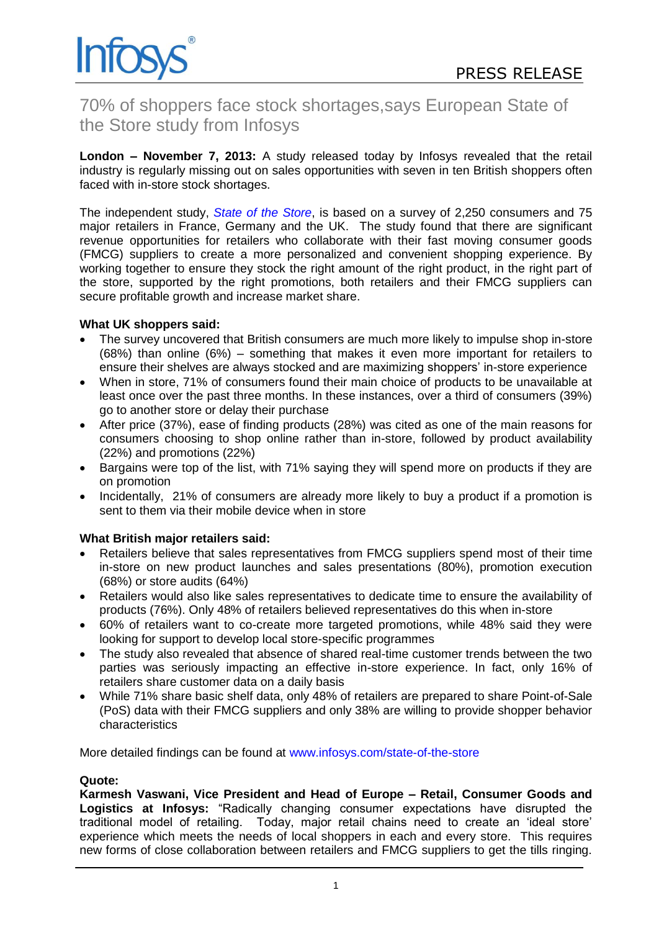# 70% of shoppers face stock shortages,says European State of the Store study from Infosys

**London – November 7, 2013:** A study released today by Infosys revealed that the retail industry is regularly missing out on sales opportunities with seven in ten British shoppers often faced with in-store stock shortages.

The independent study, *[State of the Store](http://www.infosys.com/state-of-the-store)*, is based on a survey of 2,250 consumers and 75 major retailers in France, Germany and the UK. The study found that there are significant revenue opportunities for retailers who collaborate with their fast moving consumer goods (FMCG) suppliers to create a more personalized and convenient shopping experience. By working together to ensure they stock the right amount of the right product, in the right part of the store, supported by the right promotions, both retailers and their FMCG suppliers can secure profitable growth and increase market share.

## **What UK shoppers said:**

- The survey uncovered that British consumers are much more likely to impulse shop in-store (68%) than online (6%) – something that makes it even more important for retailers to ensure their shelves are always stocked and are maximizing shoppers' in-store experience
- When in store, 71% of consumers found their main choice of products to be unavailable at least once over the past three months. In these instances, over a third of consumers (39%) go to another store or delay their purchase
- After price (37%), ease of finding products (28%) was cited as one of the main reasons for consumers choosing to shop online rather than in-store, followed by product availability (22%) and promotions (22%)
- Bargains were top of the list, with 71% saying they will spend more on products if they are on promotion
- Incidentally, 21% of consumers are already more likely to buy a product if a promotion is sent to them via their mobile device when in store

### **What British major retailers said:**

- Retailers believe that sales representatives from FMCG suppliers spend most of their time in-store on new product launches and sales presentations (80%), promotion execution (68%) or store audits (64%)
- Retailers would also like sales representatives to dedicate time to ensure the availability of products (76%). Only 48% of retailers believed representatives do this when in-store
- 60% of retailers want to co-create more targeted promotions, while 48% said they were looking for support to develop local store-specific programmes
- The study also revealed that absence of shared real-time customer trends between the two parties was seriously impacting an effective in-store experience. In fact, only 16% of retailers share customer data on a daily basis
- While 71% share basic shelf data, only 48% of retailers are prepared to share Point-of-Sale (PoS) data with their FMCG suppliers and only 38% are willing to provide shopper behavior characteristics

More detailed findings can be found at [www.infosys.com/state-of-the-store](http://www.infosys.com/state-of-the-store)

### **Quote:**

**Karmesh Vaswani, Vice President and Head of Europe – Retail, Consumer Goods and Logistics at Infosys:** "Radically changing consumer expectations have disrupted the traditional model of retailing. Today, major retail chains need to create an "ideal store" experience which meets the needs of local shoppers in each and every store. This requires new forms of close collaboration between retailers and FMCG suppliers to get the tills ringing.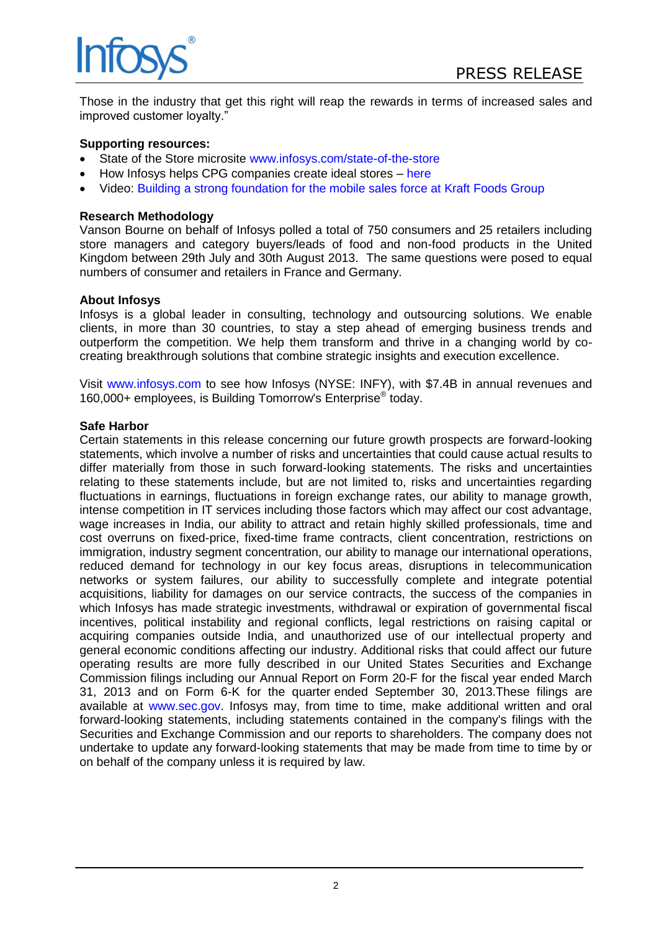

Those in the industry that get this right will reap the rewards in terms of increased sales and improved customer loyalty."

## **Supporting resources:**

- State of the Store microsite [www.infosys.com/state-of-the-store](http://www.infosys.com/state-of-the-store)
- How Infosys helps CPG companies create ideal stores [here](http://www.infosys.com/industries/consumer-packaged-goods/industry-offerings/Pages/mobile-based-solutions.aspx)
- Video: [Building a strong foundation for the mobile sales force at Kraft Foods Group](http://www.infosys.com/SAP/Pages/mobile-sales-solutions.aspx)

## **Research Methodology**

Vanson Bourne on behalf of Infosys polled a total of 750 consumers and 25 retailers including store managers and category buyers/leads of food and non-food products in the United Kingdom between 29th July and 30th August 2013. The same questions were posed to equal numbers of consumer and retailers in France and Germany.

### **About Infosys**

Infosys is a global leader in consulting, technology and outsourcing solutions. We enable clients, in more than 30 countries, to stay a step ahead of emerging business trends and outperform the competition. We help them transform and thrive in a changing world by cocreating breakthrough solutions that combine strategic insights and execution excellence.

Visit [www.infosys.com](http://www.infosys.com/) to see how Infosys (NYSE: INFY), with \$7.4B in annual revenues and 160,000+ employees, is Building Tomorrow's Enterprise® today.

### **Safe Harbor**

Certain statements in this release concerning our future growth prospects are forward-looking statements, which involve a number of risks and uncertainties that could cause actual results to differ materially from those in such forward-looking statements. The risks and uncertainties relating to these statements include, but are not limited to, risks and uncertainties regarding fluctuations in earnings, fluctuations in foreign exchange rates, our ability to manage growth, intense competition in IT services including those factors which may affect our cost advantage, wage increases in India, our ability to attract and retain highly skilled professionals, time and cost overruns on fixed-price, fixed-time frame contracts, client concentration, restrictions on immigration, industry segment concentration, our ability to manage our international operations, reduced demand for technology in our key focus areas, disruptions in telecommunication networks or system failures, our ability to successfully complete and integrate potential acquisitions, liability for damages on our service contracts, the success of the companies in which Infosys has made strategic investments, withdrawal or expiration of governmental fiscal incentives, political instability and regional conflicts, legal restrictions on raising capital or acquiring companies outside India, and unauthorized use of our intellectual property and general economic conditions affecting our industry. Additional risks that could affect our future operating results are more fully described in our United States Securities and Exchange Commission filings including our Annual Report on Form 20-F for the fiscal year ended March 31, 2013 and on Form 6-K for the quarter ended September 30, 2013.These filings are available at [www.sec.gov.](http://www.sec.gov/) Infosys may, from time to time, make additional written and oral forward-looking statements, including statements contained in the company's filings with the Securities and Exchange Commission and our reports to shareholders. The company does not undertake to update any forward-looking statements that may be made from time to time by or on behalf of the company unless it is required by law.